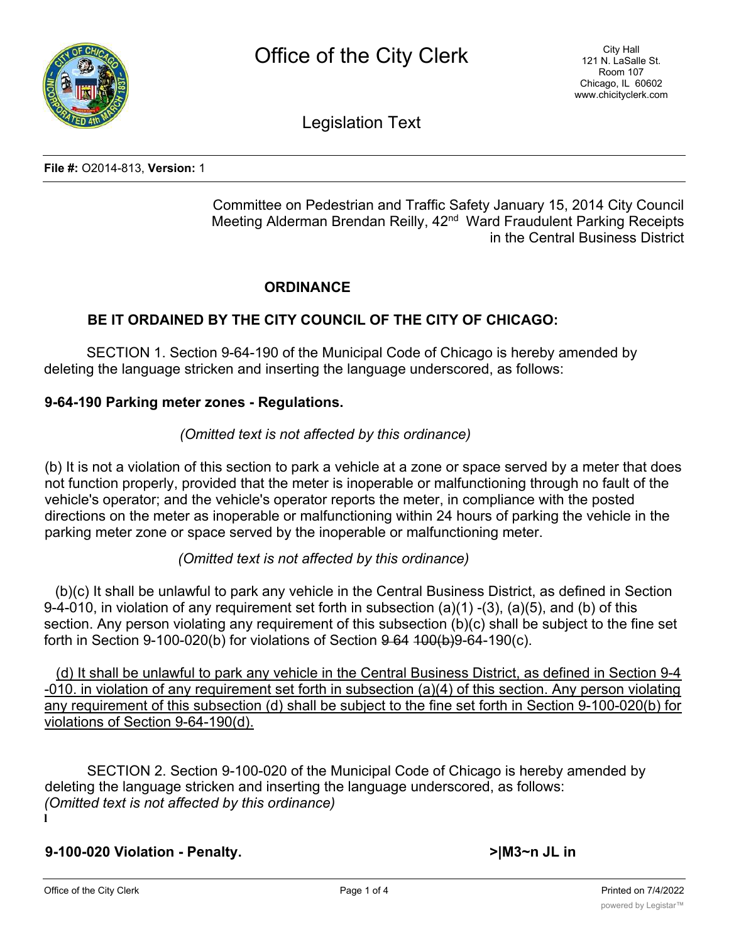

Legislation Text

**File #:** O2014-813, **Version:** 1

Committee on Pedestrian and Traffic Safety January 15, 2014 City Council Meeting Alderman Brendan Reilly, 42<sup>nd</sup> Ward Fraudulent Parking Receipts in the Central Business District

# **ORDINANCE**

# **BE IT ORDAINED BY THE CITY COUNCIL OF THE CITY OF CHICAGO:**

SECTION 1. Section 9-64-190 of the Municipal Code of Chicago is hereby amended by deleting the language stricken and inserting the language underscored, as follows:

#### **9-64-190 Parking meter zones - Regulations.**

### *(Omitted text is not affected by this ordinance)*

(b) It is not a violation of this section to park a vehicle at a zone or space served by a meter that does not function properly, provided that the meter is inoperable or malfunctioning through no fault of the vehicle's operator; and the vehicle's operator reports the meter, in compliance with the posted directions on the meter as inoperable or malfunctioning within 24 hours of parking the vehicle in the parking meter zone or space served by the inoperable or malfunctioning meter.

# *(Omitted text is not affected by this ordinance)*

(b)(c) It shall be unlawful to park any vehicle in the Central Business District, as defined in Section 9-4-010, in violation of any requirement set forth in subsection (a)(1) -(3), (a)(5), and (b) of this section. Any person violating any requirement of this subsection (b)(c) shall be subject to the fine set forth in Section 9-100-020(b) for violations of Section  $9\,64\,100(b)9\,64\,190(c)$ .

(d) It shall be unlawful to park any vehicle in the Central Business District, as defined in Section 9-4 -010. in violation of any requirement set forth in subsection (a)(4) of this section. Any person violating any requirement of this subsection (d) shall be subject to the fine set forth in Section 9-100-020(b) for violations of Section 9-64-190(d).

SECTION 2. Section 9-100-020 of the Municipal Code of Chicago is hereby amended by deleting the language stricken and inserting the language underscored, as follows: *(Omitted text is not affected by this ordinance)* **l**

**9-100-020 Violation - Penalty. >|M3~n JL in**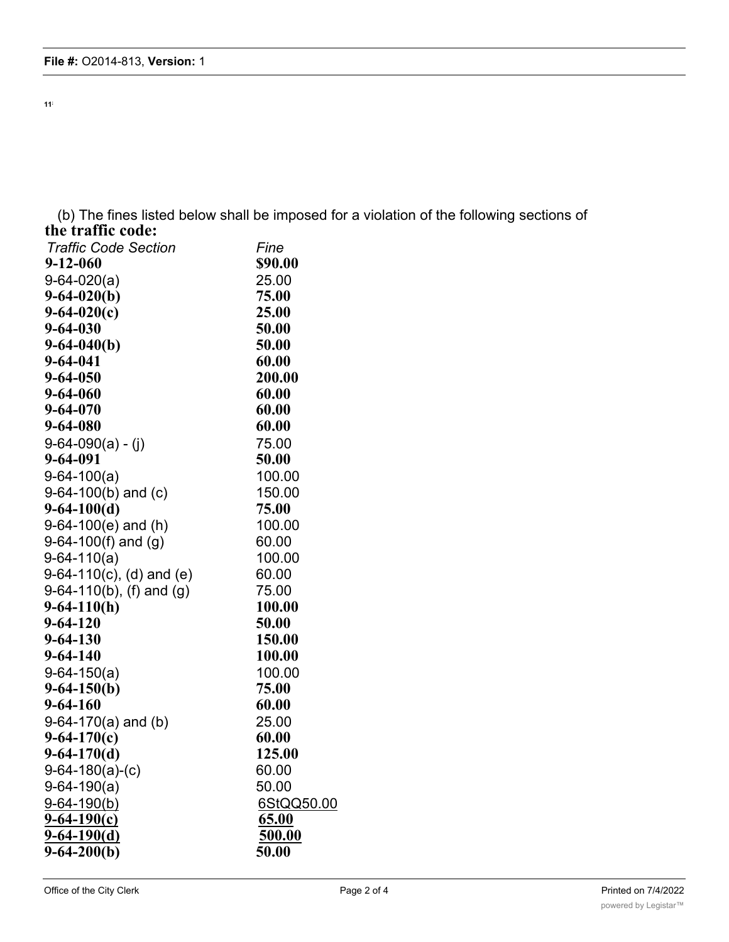**11;**

(b) The fines listed below shall be imposed for a violation of the following sections of **the traffic code:**

| <b>Traffic Code Section</b> | Fine       |
|-----------------------------|------------|
| $9 - 12 - 060$              | \$90.00    |
| $9-64-020(a)$               | 25.00      |
| $9-64-020(b)$               | 75.00      |
| $9-64-020(c)$               | 25.00      |
| $9 - 64 - 030$              | 50.00      |
| $9-64-040(b)$               | 50.00      |
| $9 - 64 - 041$              | 60.00      |
| $9 - 64 - 050$              | 200.00     |
| $9 - 64 - 060$              | 60.00      |
| $9 - 64 - 070$              | 60.00      |
| 9-64-080                    | 60.00      |
| $9-64-090(a) - (j)$         | 75.00      |
| 9-64-091                    | 50.00      |
| $9-64-100(a)$               | 100.00     |
| $9-64-100(b)$ and (c)       | 150.00     |
| $9-64-100(d)$               | 75.00      |
| $9-64-100(e)$ and (h)       | 100.00     |
| $9-64-100(f)$ and $(g)$     | 60.00      |
| $9-64-110(a)$               | 100.00     |
| $9-64-110(c)$ , (d) and (e) | 60.00      |
| $9-64-110(b)$ , (f) and (g) | 75.00      |
| $9-64-110(h)$               | 100.00     |
| $9 - 64 - 120$              | 50.00      |
| $9 - 64 - 130$              | 150.00     |
| $9 - 64 - 140$              | 100.00     |
| $9-64-150(a)$               | 100.00     |
| $9-64-150(b)$               | 75.00      |
| $9 - 64 - 160$              | 60.00      |
| $9-64-170(a)$ and (b)       | 25.00      |
| $9-64-170(c)$               | 60.00      |
| $9-64-170(d)$               | 125.00     |
| $9-64-180(a)-(c)$           | 60.00      |
| $9-64-190(a)$               | 50.00      |
| $9 - 64 - 190(b)$           | 6StQQ50.00 |
| $9 - 64 - 190(c)$           | 65.00      |
| $9-64-190(d)$               | 500.00     |
| $9-64-200(b)$               | 50.00      |
|                             |            |